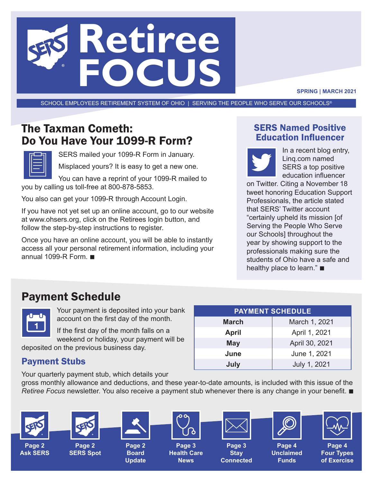

**SPRING | MARCH 2021**

SCHOOL EMPLOYEES RETIREMENT SYSTEM OF OHIO | SERVING THE PEOPLE WHO SERVE OUR SCHOOLS®

# The Taxman Cometh: Do You Have Your 1099-R Form?



SERS mailed your 1099-R Form in January.

Misplaced yours? It is easy to get a new one.

You can have a reprint of your 1099-R mailed to you by calling us toll-free at 800-878-5853.

You also can get your 1099-R through Account Login.

If you have not yet set up an online account, go to our website at www.ohsers.org, click on the Retirees login button, and follow the step-by-step instructions to register.

Once you have an online account, you will be able to instantly access all your personal retirement information, including your annual 1099-R Form.  $\blacksquare$ 

### SERS Named Positive Education Influencer



In a recent blog entry, Linq.com named SERS a top positive education influencer

on Twitter. Citing a November 18 tweet honoring Education Support Professionals, the article stated that SERS' Twitter account "certainly upheld its mission [of Serving the People Who Serve our Schools] throughout the year by showing support to the professionals making sure the students of Ohio have a safe and healthy place to learn." $\blacksquare$ 

## Payment Schedule



Your payment is deposited into your bank account on the first day of the month.

If the first day of the month falls on a weekend or holiday, your payment will be

deposited on the previous business day.

### Payment Stubs

Your quarterly payment stub, which details your

**PAYMENT SCHEDULE March** March 1, 2021 **April 1, 2021 May April 30, 2021 June June 1, 2021 July** July 1, 2021

gross monthly allowance and deductions, and these year-to-date amounts, is included with this issue of the *Retiree Focus* newsletter. You also receive a payment stub whenever there is any change in your benefit.

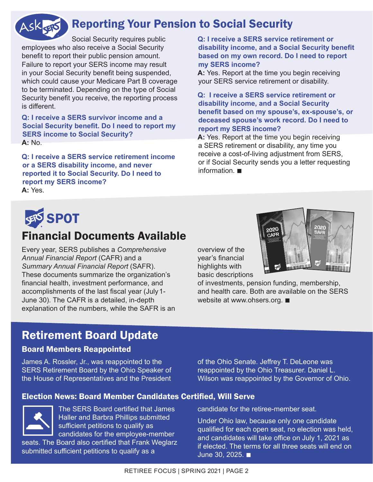#### Reporting Your Pension to Social Security ASKGETS

Social Security requires public employees who also receive a Social Security benefit to report their public pension amount. Failure to report your SERS income may result in your Social Security benefit being suspended, which could cause your Medicare Part B coverage to be terminated. Depending on the type of Social Security benefit you receive, the reporting process is different.

**Q: I receive a SERS survivor income and a Social Security benefit. Do I need to report my SERS income to Social Security? A:** No.

**Q: I receive a SERS service retirement income or a SERS disability income, and never reported it to Social Security. Do I need to report my SERS income? A:** Yes.

#### **Q: I receive a SERS service retirement or disability income, and a Social Security benefit based on my own record. Do I need to report my SERS income?**

**A:** Yes. Report at the time you begin receiving your SERS service retirement or disability.

#### **Q: I receive a SERS service retirement or disability income, and a Social Security benefit based on my spouse's, ex-spouse's, or deceased spouse's work record. Do I need to report my SERS income?**

**A:** Yes. Report at the time you begin receiving a SERS retirement or disability, any time you receive a cost-of-living adjustment from SERS, or if Social Security sends you a letter requesting information  $\blacksquare$ 



### Financial Documents Available

Every year, SERS publishes a *Comprehensive Annual Financial Report* (CAFR) and a *Summary Annual Financial Report* (SAFR). These documents summarize the organization's financial health, investment performance, and accomplishments of the last fiscal year (July1- June 30). The CAFR is a detailed, in-depth explanation of the numbers, while the SAFR is an overview of the year's financial highlights with basic descriptions



of investments, pension funding, membership, and health care. Both are available on the SERS website at www.ohsers.org.  $\blacksquare$ 

## Retirement Board Update

### Board Members Reappointed

James A. Rossler, Jr., was reappointed to the SERS Retirement Board by the Ohio Speaker of the House of Representatives and the President of the Ohio Senate. Jeffrey T. DeLeone was reappointed by the Ohio Treasurer. Daniel L. Wilson was reappointed by the Governor of Ohio.

candidate for the retiree-member seat.

Under Ohio law, because only one candidate qualified for each open seat, no election was held, and candidates will take office on July 1, 2021 as if elected. The terms for all three seats will end on

### Election News: Board Member Candidates Certified, Will Serve



The SERS Board certified that James Haller and Barbra Phillips submitted sufficient petitions to qualify as candidates for the employee-member

seats. The Board also certified that Frank Weglarz submitted sufficient petitions to qualify as a

RETIREE FOCUS | SPRING 2021 | PAGE 2

June 30, 2025.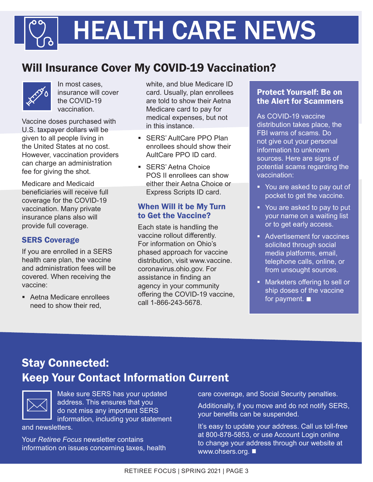# HEALTH CARE NEWS

# Will Insurance Cover My COVID-19 Vaccination?



In most cases, insurance will cover the COVID-19 vaccination.

Vaccine doses purchased with U.S. taxpayer dollars will be given to all people living in the United States at no cost. However, vaccination providers can charge an administration fee for giving the shot.

Medicare and Medicaid beneficiaries will receive full coverage for the COVID-19 vaccination. Many private insurance plans also will provide full coverage.

### SERS Coverage

If you are enrolled in a SERS health care plan, the vaccine and administration fees will be covered. When receiving the vaccine:

 Aetna Medicare enrollees need to show their red,

white, and blue Medicare ID card. Usually, plan enrollees are told to show their Aetna Medicare card to pay for medical expenses, but not in this instance.

- **SERS' AultCare PPO Plan** enrollees should show their AultCare PPO ID card.
- **SERS' Aetna Choice** POS II enrollees can show either their Aetna Choice or Express Scripts ID card.

### When Will it be My Turn to Get the Vaccine?

Each state is handling the vaccine rollout differently. For information on Ohio's phased approach for vaccine distribution, visit www.vaccine. coronavirus.ohio.gov. For assistance in finding an agency in your community offering the COVID-19 vaccine, call 1-866-243-5678.

### Protect Yourself: Be on the Alert for Scammers

As COVID-19 vaccine distribution takes place, the FBI warns of scams. Do not give out your personal information to unknown sources. Here are signs of potential scams regarding the vaccination:

- You are asked to pay out of pocket to get the vaccine.
- You are asked to pay to put your name on a waiting list or to get early access.
- **Advertisement for vaccines** solicited through social media platforms, email, telephone calls, online, or from unsought sources.
- **Marketers offering to sell or** ship doses of the vaccine for payment.  $\blacksquare$

# Stay Connected: Keep Your Contact Information Current



Make sure SERS has your updated address. This ensures that you do not miss any important SERS information, including your statement

and newsletters.

Your *Retiree Focus* newsletter contains information on issues concerning taxes, health care coverage, and Social Security penalties.

Additionally, if you move and do not notify SERS, your benefits can be suspended.

It's easy to update your address. Call us toll-free at 800-878-5853, or use Account Login online to change your address through our website at www.ohsers.org.